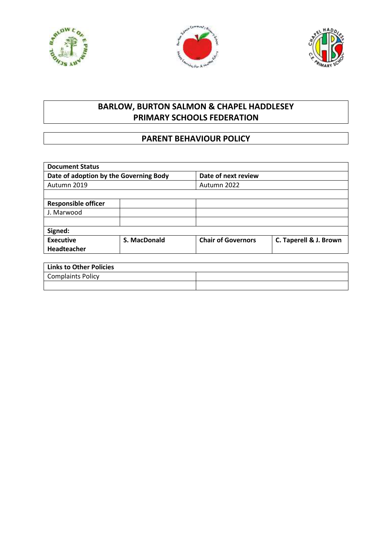





## **BARLOW, BURTON SALMON & CHAPEL HADDLESEY PRIMARY SCHOOLS FEDERATION**

## **PARENT BEHAVIOUR POLICY**

| <b>Document Status</b>                 |              |                           |                        |
|----------------------------------------|--------------|---------------------------|------------------------|
| Date of adoption by the Governing Body |              | Date of next review       |                        |
| Autumn 2019                            |              | Autumn 2022               |                        |
|                                        |              |                           |                        |
| <b>Responsible officer</b>             |              |                           |                        |
| J. Marwood                             |              |                           |                        |
|                                        |              |                           |                        |
| Signed:                                |              |                           |                        |
| Executive                              | S. MacDonald | <b>Chair of Governors</b> | C. Taperell & J. Brown |
| Headteacher                            |              |                           |                        |
|                                        |              |                           |                        |
| <b>Links to Other Policies</b>         |              |                           |                        |
| <b>Complaints Policy</b>               |              |                           |                        |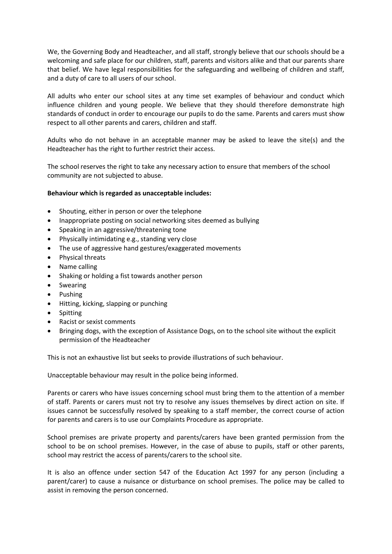We, the Governing Body and Headteacher, and all staff, strongly believe that our schools should be a welcoming and safe place for our children, staff, parents and visitors alike and that our parents share that belief. We have legal responsibilities for the safeguarding and wellbeing of children and staff, and a duty of care to all users of our school.

All adults who enter our school sites at any time set examples of behaviour and conduct which influence children and young people. We believe that they should therefore demonstrate high standards of conduct in order to encourage our pupils to do the same. Parents and carers must show respect to all other parents and carers, children and staff.

Adults who do not behave in an acceptable manner may be asked to leave the site(s) and the Headteacher has the right to further restrict their access.

The school reserves the right to take any necessary action to ensure that members of the school community are not subjected to abuse.

## **Behaviour which is regarded as unacceptable includes:**

- Shouting, either in person or over the telephone
- Inappropriate posting on social networking sites deemed as bullying
- Speaking in an aggressive/threatening tone
- Physically intimidating e.g., standing very close
- The use of aggressive hand gestures/exaggerated movements
- Physical threats
- Name calling
- Shaking or holding a fist towards another person
- **•** Swearing
- Pushing
- Hitting, kicking, slapping or punching
- Spitting
- Racist or sexist comments
- Bringing dogs, with the exception of Assistance Dogs, on to the school site without the explicit permission of the Headteacher

This is not an exhaustive list but seeks to provide illustrations of such behaviour.

Unacceptable behaviour may result in the police being informed.

Parents or carers who have issues concerning school must bring them to the attention of a member of staff. Parents or carers must not try to resolve any issues themselves by direct action on site. If issues cannot be successfully resolved by speaking to a staff member, the correct course of action for parents and carers is to use our Complaints Procedure as appropriate.

School premises are private property and parents/carers have been granted permission from the school to be on school premises. However, in the case of abuse to pupils, staff or other parents, school may restrict the access of parents/carers to the school site.

It is also an offence under section 547 of the Education Act 1997 for any person (including a parent/carer) to cause a nuisance or disturbance on school premises. The police may be called to assist in removing the person concerned.